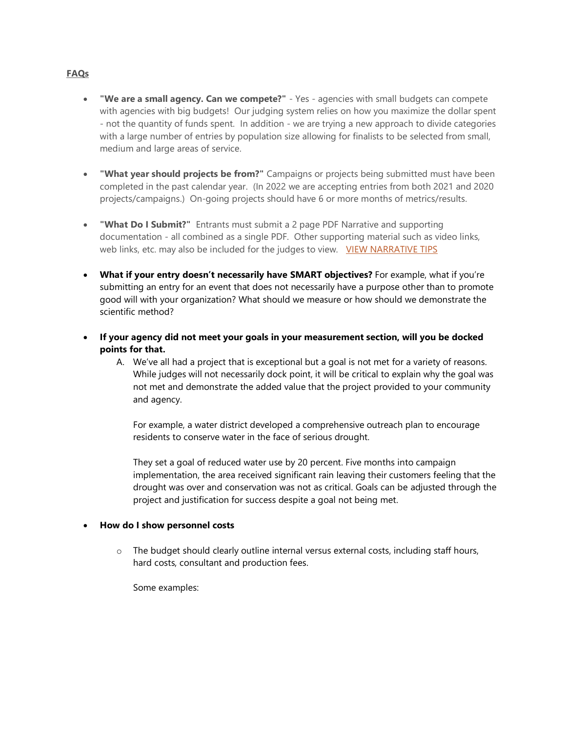## **FAQs**

- **"We are a small agency. Can we compete?"** Yes agencies with small budgets can compete with agencies with big budgets! Our judging system relies on how you maximize the dollar spent - not the quantity of funds spent. In addition - we are trying a new approach to divide categories with a large number of entries by population size allowing for finalists to be selected from small, medium and large areas of service.
- **"What year should projects be from?"** Campaigns or projects being submitted must have been completed in the past calendar year. (In 2022 we are accepting entries from both 2021 and 2020 projects/campaigns.) On-going projects should have 6 or more months of metrics/results.
- **"What Do I Submit?"** Entrants must submit a 2 page PDF Narrative and supporting documentation - all combined as a single PDF. Other supporting material such as video links, web links, etc. may also be included for the judges to view. [VIEW NARRATIVE TIPS](http://clicks.memberclicks-mail.net/wf/click?upn=p-2BAb9MYBCFYQnqWsG3jZz03lsbZfpkfFke1eO3Vk-2FVXbapcTV2PO0hEQ1HjiHAEALxBwBRb-2F4GQ0LAuqjkMiPlSXCabx1oyRbp5D8Eylq8PujMDYSaoOjmDLVeO7AWL7_dEUy66JE6umJK7q2AQXWWUZgzn1gewMJn8ZFsRT86W4hMNdfMq1siWlCDnoY0eiuJoKz218tL3c6nvcgUfI-2FLh8gdfcXx-2FljnV2TVPrC7Ay7olWfCfac8DKEd-2FnMd8J8tU3omiNcTMmrgiofzLVQcbI-2FU8PxLFIxDXdy6RUnSXqenihrAsmYROGVVpqZiuZEirE2hVjjqVTTi1Se-2FoKs-2BAMgupy-2FsPs1PSe4yjA9IvHLkInJzV4xs96D-2F9HEC8wSDye6nLkE4iSdm0rVjR7NN2PuZyk-2Bhw0BbIokod18J5MABKRzNlPIWoK247gpj7yMQHBdJeQjimbNPM7k0jr1vA-3D-3D)
- **What if your entry doesn't necessarily have SMART objectives?** For example, what if you're submitting an entry for an event that does not necessarily have a purpose other than to promote good will with your organization? What should we measure or how should we demonstrate the scientific method?
- **If your agency did not meet your goals in your measurement section, will you be docked points for that.** 
	- A. We've all had a project that is exceptional but a goal is not met for a variety of reasons. While judges will not necessarily dock point, it will be critical to explain why the goal was not met and demonstrate the added value that the project provided to your community and agency.

For example, a water district developed a comprehensive outreach plan to encourage residents to conserve water in the face of serious drought.

They set a goal of reduced water use by 20 percent. Five months into campaign implementation, the area received significant rain leaving their customers feeling that the drought was over and conservation was not as critical. Goals can be adjusted through the project and justification for success despite a goal not being met.

## • **How do I show personnel costs**

o The budget should clearly outline internal versus external costs, including staff hours, hard costs, consultant and production fees.

Some examples: